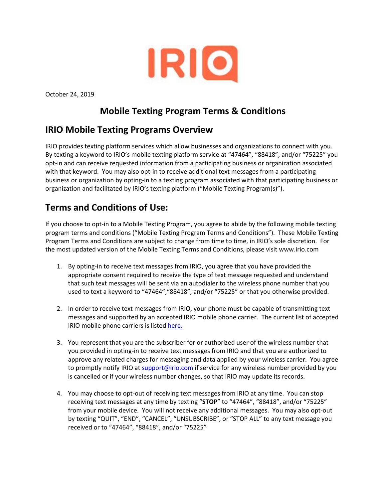

October 24, 2019

## **Mobile Texting Program Terms & Conditions**

## **IRIO Mobile Texting Programs Overview**

IRIO provides texting platform services which allow businesses and organizations to connect with you. By texting a keyword to IRIO's mobile texting platform service at "47464", "88418", and/or "75225" you opt-in and can receive requested information from a participating business or organization associated with that keyword. You may also opt-in to receive additional text messages from a participating business or organization by opting-in to a texting program associated with that participating business or organization and facilitated by IRIO's texting platform ("Mobile Texting Program(s)").

## **Terms and Conditions of Use:**

If you choose to opt-in to a Mobile Texting Program, you agree to abide by the following mobile texting program terms and conditions ("Mobile Texting Program Terms and Conditions"). These Mobile Texting Program Terms and Conditions are subject to change from time to time, in IRIO's sole discretion. For the most updated version of the Mobile Texting Terms and Conditions, please visit www.irio.com

- 1. By opting-in to receive text messages from IRIO, you agree that you have provided the appropriate consent required to receive the type of text message requested and understand that such text messages will be sent via an autodialer to the wireless phone number that you used to text a keyword to "47464","88418", and/or "75225" or that you otherwise provided.
- 2. In order to receive text messages from IRIO, your phone must be capable of transmitting text messages and supported by an accepted IRIO mobile phone carrier. The current list of accepted IRIO mobile phone carriers is listed [here.](http://www.irio.com/providers.pdf)
- 3. You represent that you are the subscriber for or authorized user of the wireless number that you provided in opting-in to receive text messages from IRIO and that you are authorized to approve any related charges for messaging and data applied by your wireless carrier. You agree to promptly notify IRIO at [support@irio.com](mailto:support@irio.com) if service for any wireless number provided by you is cancelled or if your wireless number changes, so that IRIO may update its records.
- 4. You may choose to opt-out of receiving text messages from IRIO at any time. You can stop receiving text messages at any time by texting "**STOP**" to "47464", "88418", and/or "75225" from your mobile device. You will not receive any additional messages. You may also opt-out by texting "QUIT", "END", "CANCEL", "UNSUBSCRIBE", or "STOP ALL" to any text message you received or to "47464", "88418", and/or "75225"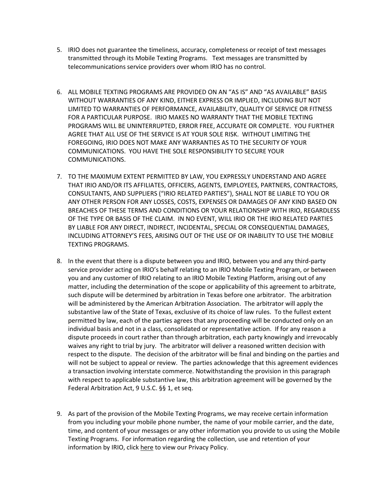- 5. IRIO does not guarantee the timeliness, accuracy, completeness or receipt of text messages transmitted through its Mobile Texting Programs. Text messages are transmitted by telecommunications service providers over whom IRIO has no control.
- 6. ALL MOBILE TEXTING PROGRAMS ARE PROVIDED ON AN "AS IS" AND "AS AVAILABLE" BASIS WITHOUT WARRANTIES OF ANY KIND, EITHER EXPRESS OR IMPLIED, INCLUDING BUT NOT LIMITED TO WARRANTIES OF PERFORMANCE, AVAILABILITY, QUALITY OF SERVICE OR FITNESS FOR A PARTICULAR PURPOSE. IRIO MAKES NO WARRANTY THAT THE MOBILE TEXTING PROGRAMS WILL BE UNINTERRUPTED, ERROR FREE, ACCURATE OR COMPLETE. YOU FURTHER AGREE THAT ALL USE OF THE SERVICE IS AT YOUR SOLE RISK. WITHOUT LIMITING THE FOREGOING, IRIO DOES NOT MAKE ANY WARRANTIES AS TO THE SECURITY OF YOUR COMMUNICATIONS. YOU HAVE THE SOLE RESPONSIBILITY TO SECURE YOUR COMMUNICATIONS.
- 7. TO THE MAXIMUM EXTENT PERMITTED BY LAW, YOU EXPRESSLY UNDERSTAND AND AGREE THAT IRIO AND/OR ITS AFFILIATES, OFFICERS, AGENTS, EMPLOYEES, PARTNERS, CONTRACTORS, CONSULTANTS, AND SUPPLIERS ("IRIO RELATED PARTIES"), SHALL NOT BE LIABLE TO YOU OR ANY OTHER PERSON FOR ANY LOSSES, COSTS, EXPENSES OR DAMAGES OF ANY KIND BASED ON BREACHES OF THESE TERMS AND CONDITIONS OR YOUR RELATIONSHIP WITH IRIO, REGARDLESS OF THE TYPE OR BASIS OF THE CLAIM. IN NO EVENT, WILL IRIO OR THE IRIO RELATED PARTIES BY LIABLE FOR ANY DIRECT, INDIRECT, INCIDENTAL, SPECIAL OR CONSEQUENTIAL DAMAGES, INCLUDING ATTORNEY'S FEES, ARISING OUT OF THE USE OF OR INABILITY TO USE THE MOBILE TEXTING PROGRAMS.
- 8. In the event that there is a dispute between you and IRIO, between you and any third-party service provider acting on IRIO's behalf relating to an IRIO Mobile Texting Program, or between you and any customer of IRIO relating to an IRIO Mobile Texting Platform, arising out of any matter, including the determination of the scope or applicability of this agreement to arbitrate, such dispute will be determined by arbitration in Texas before one arbitrator. The arbitration will be administered by the American Arbitration Association. The arbitrator will apply the substantive law of the State of Texas, exclusive of its choice of law rules. To the fullest extent permitted by law, each of the parties agrees that any proceeding will be conducted only on an individual basis and not in a class, consolidated or representative action. If for any reason a dispute proceeds in court rather than through arbitration, each party knowingly and irrevocably waives any right to trial by jury. The arbitrator will deliver a reasoned written decision with respect to the dispute. The decision of the arbitrator will be final and binding on the parties and will not be subject to appeal or review. The parties acknowledge that this agreement evidences a transaction involving interstate commerce. Notwithstanding the provision in this paragraph with respect to applicable substantive law, this arbitration agreement will be governed by the Federal Arbitration Act, 9 U.S.C. §§ 1, et seq.
- 9. As part of the provision of the Mobile Texting Programs, we may receive certain information from you including your mobile phone number, the name of your mobile carrier, and the date, time, and content of your messages or any other information you provide to us using the Mobile Texting Programs. For information regarding the collection, use and retention of your information by IRIO, clic[k here](http://www.irio.com/privacy.pdf) to view our Privacy Policy.